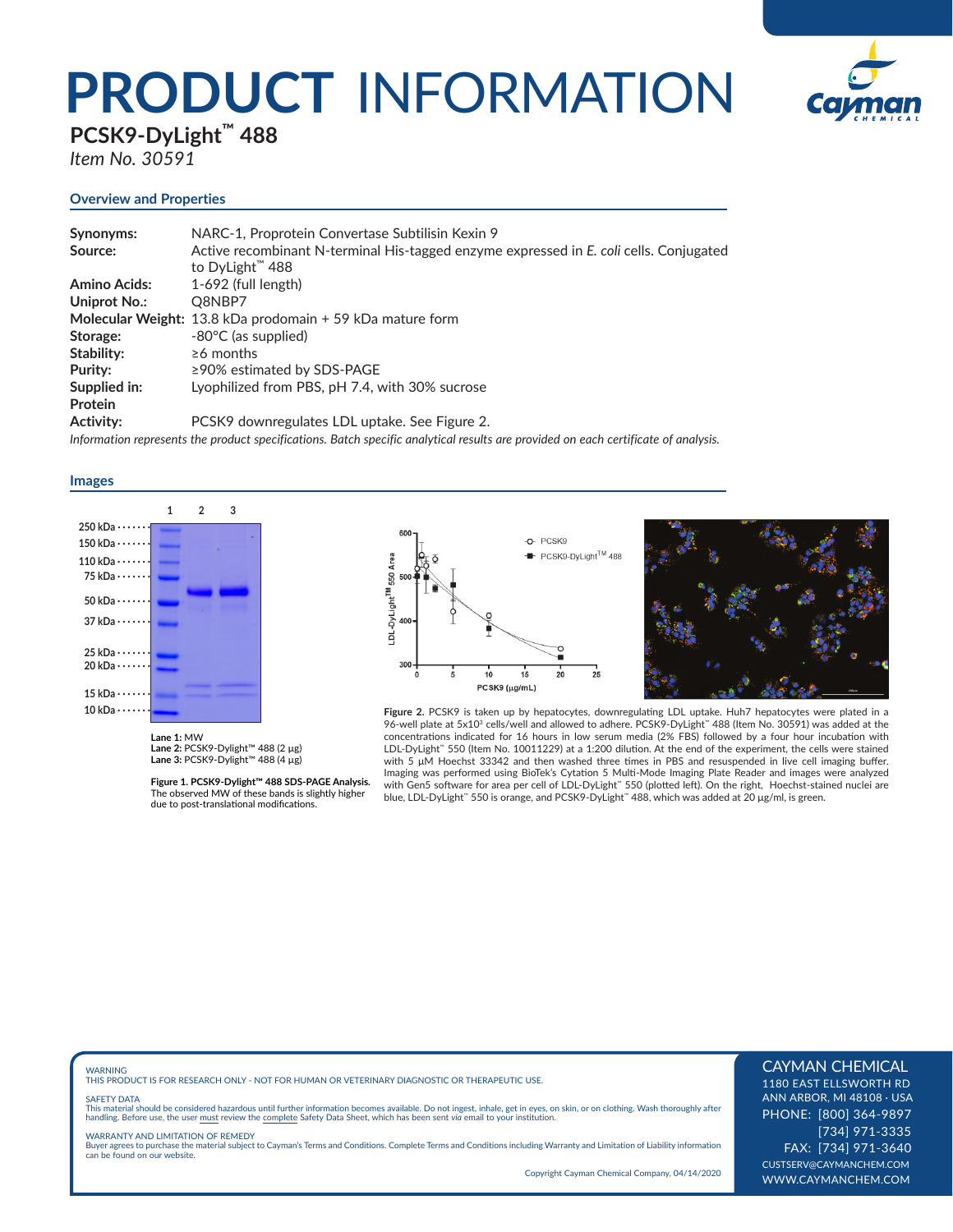# **PRODUCT** INFORMATION



**PCSK9-DyLight™ 488** 

*Item No. 30591*

### **Overview and Properties**

| Synonyms:           | NARC-1, Proprotein Convertase Subtilisin Kexin 9                                                                                   |
|---------------------|------------------------------------------------------------------------------------------------------------------------------------|
| Source:             | Active recombinant N-terminal His-tagged enzyme expressed in E. coli cells. Conjugated                                             |
|                     | to DyLight <sup>"</sup> 488                                                                                                        |
| <b>Amino Acids:</b> | 1-692 (full length)                                                                                                                |
| Uniprot No.:        | Q8NBP7                                                                                                                             |
|                     | Molecular Weight: 13.8 kDa prodomain + 59 kDa mature form                                                                          |
| Storage:            | $-80^{\circ}$ C (as supplied)                                                                                                      |
| Stability:          | $\geq 6$ months                                                                                                                    |
| Purity:             | $\geq$ 90% estimated by SDS-PAGE                                                                                                   |
| Supplied in:        | Lyophilized from PBS, pH 7.4, with 30% sucrose                                                                                     |
| Protein             |                                                                                                                                    |
| Activity:           | PCSK9 downregulates LDL uptake. See Figure 2.                                                                                      |
|                     | Information represents the product specifications. Batch specific analytical results are provided on each certificate of analysis. |

**Images** 



**Lane 1:** MW **Lane 2:** PCSK9-Dylight™ 488 (2 µg) **Lane 3:** PCSK9-Dylight™ 488 (4 µg)

**Figure 1. PCSK9-Dylight™ 488 SDS-PAGE Analysis.**  The observed MW of these bands is slightly higher due to post-translational modifications.





**Figure 2.** PCSK9 is taken up by hepatocytes, downregulating LDL uptake. Huh7 hepatocytes were plated in a<br>96-well plate at 5x10<sup>3</sup> cells/well and allowed to adhere. PCSK9-DyLight™ 488 (Item No. 30591) was added at the concentrations indicated for 16 hours in low serum media (2% FBS) followed by a four hour incubation with<br>LDL-DyLight™ 550 (Item No. 10011229) at a 1:200 dilution. At the end of the experiment, the cells were stained with 5 μM Hoechst 33342 and then washed three mes in PBS and resuspended in live cell imaging buffer. Imaging was performed using BioTek's Cytation 5 Multi-Mode Imaging Plate Reader and images were analyzed with Gen5 software for area per cell of LDL-DyLight™ 550 (plotted left). On the right, Hoechst-stained nuclei are blue, LDL-DyLight™ 550 is orange, and PCSK9-DyLight™ 488, which was added at 20 μg/ml, is green.

WARNING THIS PRODUCT IS FOR RESEARCH ONLY - NOT FOR HUMAN OR VETERINARY DIAGNOSTIC OR THERAPEUTIC USE.

#### SAFETY DATA

This material should be considered hazardous until further information becomes available. Do not ingest, inhale, get in eyes, on skin, or on clothing. Wash thoroughly after<br>handling. Before use, the user must review the co

WARRANTY AND LIMITATION OF REMEDY Buyer agrees to purchase the material subject to Cayman's Terms and Conditions. Complete Terms and Conditions including Warranty and Limitation of Liability information can be found on our website.

Copyright Cayman Chemical Company, 04/14/2020

### CAYMAN CHEMICAL

1180 EAST ELLSWORTH RD ANN ARBOR, MI 48108 · USA PHONE: [800] 364-9897 [734] 971-3335 FAX: [734] 971-3640 CUSTSERV@CAYMANCHEM.COM WWW.CAYMANCHEM.COM